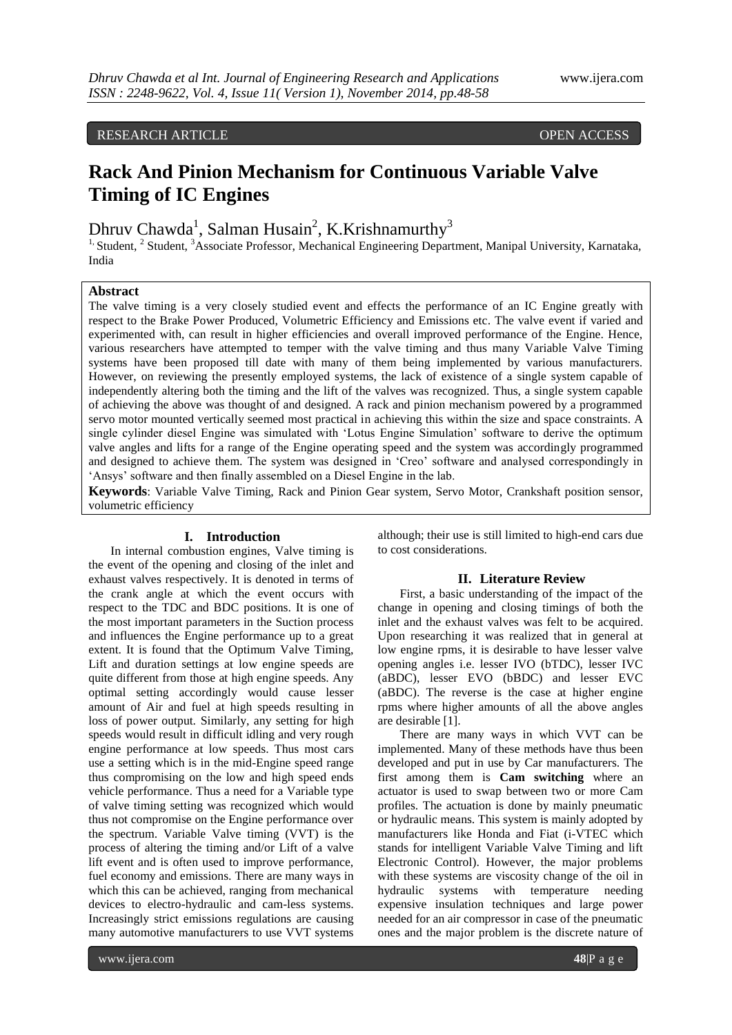#### RESEARCH ARTICLE **CONSERVERS** OPEN ACCESS

# **Rack And Pinion Mechanism for Continuous Variable Valve Timing of IC Engines**

Dhruv Chawda<sup>1</sup>, Salman Husain<sup>2</sup>, K.Krishnamurthy<sup>3</sup>

<sup>1,</sup> Student, <sup>2</sup> Student, <sup>3</sup>Associate Professor, Mechanical Engineering Department, Manipal University, Karnataka, India

## **Abstract**

The valve timing is a very closely studied event and effects the performance of an IC Engine greatly with respect to the Brake Power Produced, Volumetric Efficiency and Emissions etc. The valve event if varied and experimented with, can result in higher efficiencies and overall improved performance of the Engine. Hence, various researchers have attempted to temper with the valve timing and thus many Variable Valve Timing systems have been proposed till date with many of them being implemented by various manufacturers. However, on reviewing the presently employed systems, the lack of existence of a single system capable of independently altering both the timing and the lift of the valves was recognized. Thus, a single system capable of achieving the above was thought of and designed. A rack and pinion mechanism powered by a programmed servo motor mounted vertically seemed most practical in achieving this within the size and space constraints. A single cylinder diesel Engine was simulated with "Lotus Engine Simulation" software to derive the optimum valve angles and lifts for a range of the Engine operating speed and the system was accordingly programmed and designed to achieve them. The system was designed in "Creo" software and analysed correspondingly in 'Ansys' software and then finally assembled on a Diesel Engine in the lab.

**Keywords**: Variable Valve Timing, Rack and Pinion Gear system, Servo Motor, Crankshaft position sensor, volumetric efficiency

#### **I. Introduction**

In internal combustion engines, Valve timing is the event of the opening and closing of the inlet and exhaust valves respectively. It is denoted in terms of the crank angle at which the event occurs with respect to the TDC and BDC positions. It is one of the most important parameters in the Suction process and influences the Engine performance up to a great extent. It is found that the Optimum Valve Timing, Lift and duration settings at low engine speeds are quite different from those at high engine speeds. Any optimal setting accordingly would cause lesser amount of Air and fuel at high speeds resulting in loss of power output. Similarly, any setting for high speeds would result in difficult idling and very rough engine performance at low speeds. Thus most cars use a setting which is in the mid-Engine speed range thus compromising on the low and high speed ends vehicle performance. Thus a need for a Variable type of valve timing setting was recognized which would thus not compromise on the Engine performance over the spectrum. Variable Valve timing (VVT) is the process of altering the timing and/or Lift of a valve lift event and is often used to improve performance, fuel economy and emissions. There are many ways in which this can be achieved, ranging from mechanical devices to electro-hydraulic and cam-less systems. Increasingly strict emissions regulations are causing many automotive manufacturers to use VVT systems

although; their use is still limited to high-end cars due to cost considerations.

#### **II. Literature Review**

First, a basic understanding of the impact of the change in opening and closing timings of both the inlet and the exhaust valves was felt to be acquired. Upon researching it was realized that in general at low engine rpms, it is desirable to have lesser valve opening angles i.e. lesser IVO (bTDC), lesser IVC (aBDC), lesser EVO (bBDC) and lesser EVC (aBDC). The reverse is the case at higher engine rpms where higher amounts of all the above angles are desirable [1].

There are many ways in which VVT can be implemented. Many of these methods have thus been developed and put in use by Car manufacturers. The first among them is **Cam switching** where an actuator is used to swap between two or more Cam profiles. The actuation is done by mainly pneumatic or hydraulic means. This system is mainly adopted by manufacturers like Honda and Fiat (i-VTEC which stands for intelligent Variable Valve Timing and lift Electronic Control). However, the major problems with these systems are viscosity change of the oil in hydraulic systems with temperature needing expensive insulation techniques and large power needed for an air compressor in case of the pneumatic ones and the major problem is the discrete nature of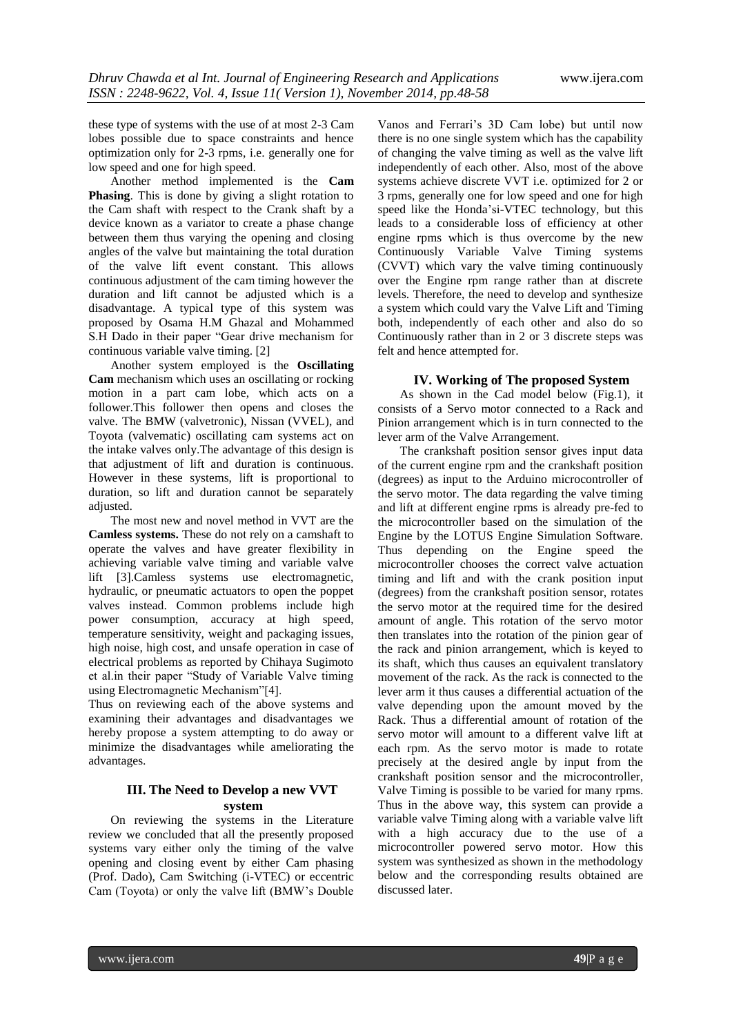these type of systems with the use of at most 2-3 Cam lobes possible due to space constraints and hence optimization only for 2-3 rpms, i.e. generally one for low speed and one for high speed.

Another method implemented is the **Cam Phasing**. This is done by giving a slight rotation to the Cam shaft with respect to the Crank shaft by a device known as a variator to create a phase change between them thus varying the opening and closing angles of the valve but maintaining the total duration of the valve lift event constant. This allows continuous adjustment of the cam timing however the duration and lift cannot be adjusted which is a disadvantage. A typical type of this system was proposed by Osama H.M Ghazal and Mohammed S.H Dado in their paper "Gear drive mechanism for continuous variable valve timing. [2]

Another system employed is the **Oscillating Cam** mechanism which uses an oscillating or rocking motion in a part cam lobe, which acts on a follower.This follower then opens and closes the valve. The BMW [\(valvetronic\)](http://en.wikipedia.org/wiki/Valvetronic), Nissan [\(VVEL\)](http://en.wikipedia.org/wiki/VVEL), and Toyota [\(valvematic\)](http://en.wikipedia.org/wiki/VVT-i#Valvematic) oscillating cam systems act on the intake valves only.The advantage of this design is that adjustment of lift and duration is continuous. However in these systems, lift is proportional to duration, so lift and duration cannot be separately adjusted.

The most new and novel method in VVT are the **Camless systems.** These do not rely on a camshaft to operate the valves and have greater flexibility in achieving variable valve timing and variable valve lift [3].Camless systems use electromagnetic, hydraulic, or pneumatic actuators to open the poppet valves instead. Common problems include high power consumption, accuracy at high speed, temperature sensitivity, weight and packaging issues, high noise, high cost, and unsafe operation in case of electrical problems as reported by Chihaya Sugimoto et al.in their paper "Study of Variable Valve timing using Electromagnetic Mechanism"[4].

Thus on reviewing each of the above systems and examining their advantages and disadvantages we hereby propose a system attempting to do away or minimize the disadvantages while ameliorating the advantages.

## **III. The Need to Develop a new VVT system**

On reviewing the systems in the Literature review we concluded that all the presently proposed systems vary either only the timing of the valve opening and closing event by either Cam phasing (Prof. Dado), Cam Switching (i-VTEC) or eccentric Cam (Toyota) or only the valve lift (BMW"s Double

Vanos and Ferrari"s 3D Cam lobe) but until now there is no one single system which has the capability of changing the valve timing as well as the valve lift independently of each other. Also, most of the above systems achieve discrete VVT i.e. optimized for 2 or 3 rpms, generally one for low speed and one for high speed like the Honda"si-VTEC technology, but this leads to a considerable loss of efficiency at other engine rpms which is thus overcome by the new Continuously Variable Valve Timing systems (CVVT) which vary the valve timing continuously over the Engine rpm range rather than at discrete levels. Therefore, the need to develop and synthesize a system which could vary the Valve Lift and Timing both, independently of each other and also do so Continuously rather than in 2 or 3 discrete steps was felt and hence attempted for.

## **IV. Working of The proposed System**

As shown in the Cad model below (Fig.1), it consists of a Servo motor connected to a Rack and Pinion arrangement which is in turn connected to the lever arm of the Valve Arrangement.

The crankshaft position sensor gives input data of the current engine rpm and the crankshaft position (degrees) as input to the Arduino microcontroller of the servo motor. The data regarding the valve timing and lift at different engine rpms is already pre-fed to the microcontroller based on the simulation of the Engine by the LOTUS Engine Simulation Software. Thus depending on the Engine speed the microcontroller chooses the correct valve actuation timing and lift and with the crank position input (degrees) from the crankshaft position sensor, rotates the servo motor at the required time for the desired amount of angle. This rotation of the servo motor then translates into the rotation of the pinion gear of the rack and pinion arrangement, which is keyed to its shaft, which thus causes an equivalent translatory movement of the rack. As the rack is connected to the lever arm it thus causes a differential actuation of the valve depending upon the amount moved by the Rack. Thus a differential amount of rotation of the servo motor will amount to a different valve lift at each rpm. As the servo motor is made to rotate precisely at the desired angle by input from the crankshaft position sensor and the microcontroller, Valve Timing is possible to be varied for many rpms. Thus in the above way, this system can provide a variable valve Timing along with a variable valve lift with a high accuracy due to the use of a microcontroller powered servo motor. How this system was synthesized as shown in the methodology below and the corresponding results obtained are discussed later.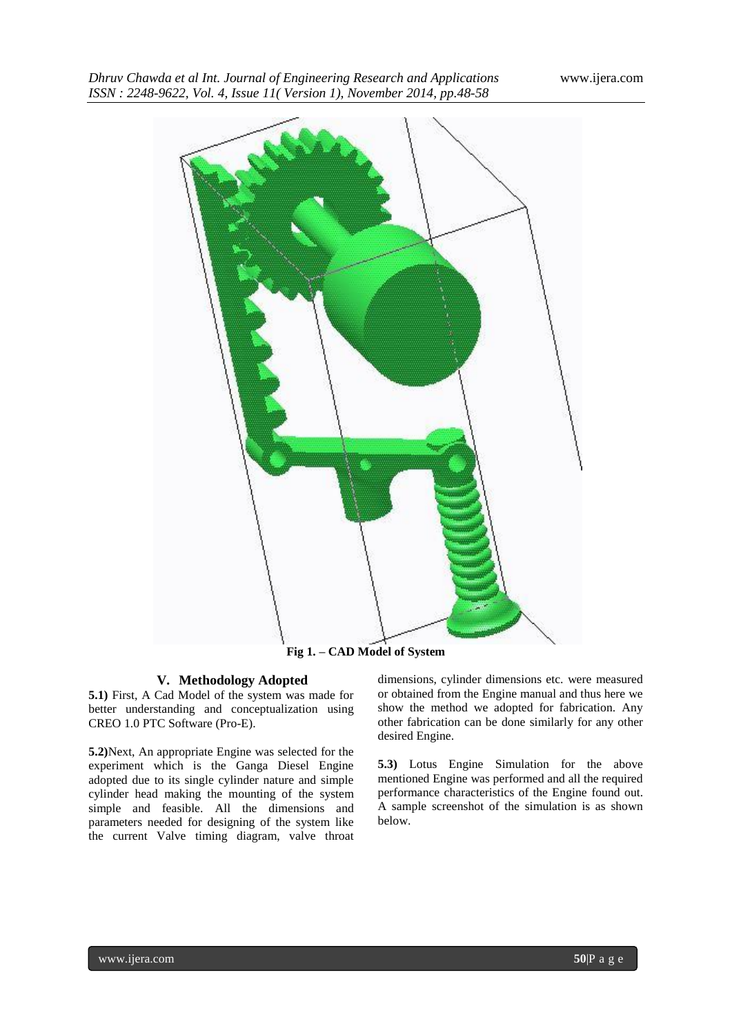

# **V. Methodology Adopted**

**5.1)** First, A Cad Model of the system was made for better understanding and conceptualization using CREO 1.0 PTC Software (Pro-E).

**5.2)**Next, An appropriate Engine was selected for the experiment which is the Ganga Diesel Engine adopted due to its single cylinder nature and simple cylinder head making the mounting of the system simple and feasible. All the dimensions and parameters needed for designing of the system like the current Valve timing diagram, valve throat dimensions, cylinder dimensions etc. were measured or obtained from the Engine manual and thus here we show the method we adopted for fabrication. Any other fabrication can be done similarly for any other desired Engine.

**5.3)** Lotus Engine Simulation for the above mentioned Engine was performed and all the required performance characteristics of the Engine found out. A sample screenshot of the simulation is as shown below.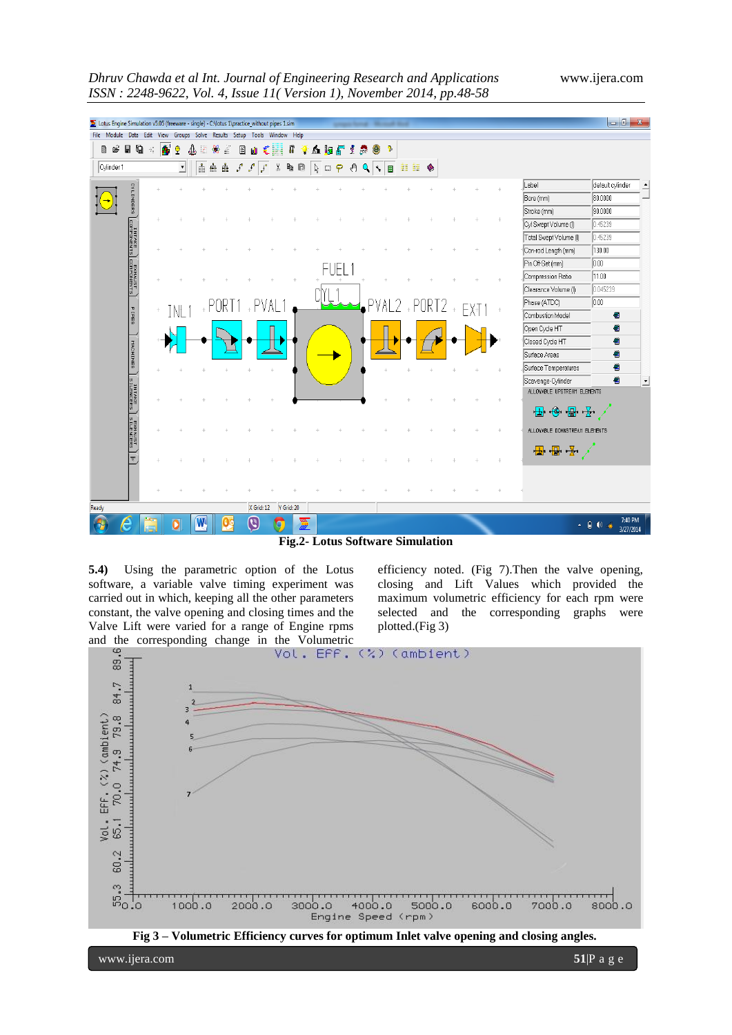



**Fig.2- Lotus Software Simulation**

**5.4)** Using the parametric option of the Lotus software, a variable valve timing experiment was carried out in which, keeping all the other parameters constant, the valve opening and closing times and the Valve Lift were varied for a range of Engine rpms

efficiency noted. (Fig 7).Then the valve opening, closing and Lift Values which provided the maximum volumetric efficiency for each rpm were selected and the corresponding graphs were plotted.(Fig 3)



www.ijera.com **51**|P a g e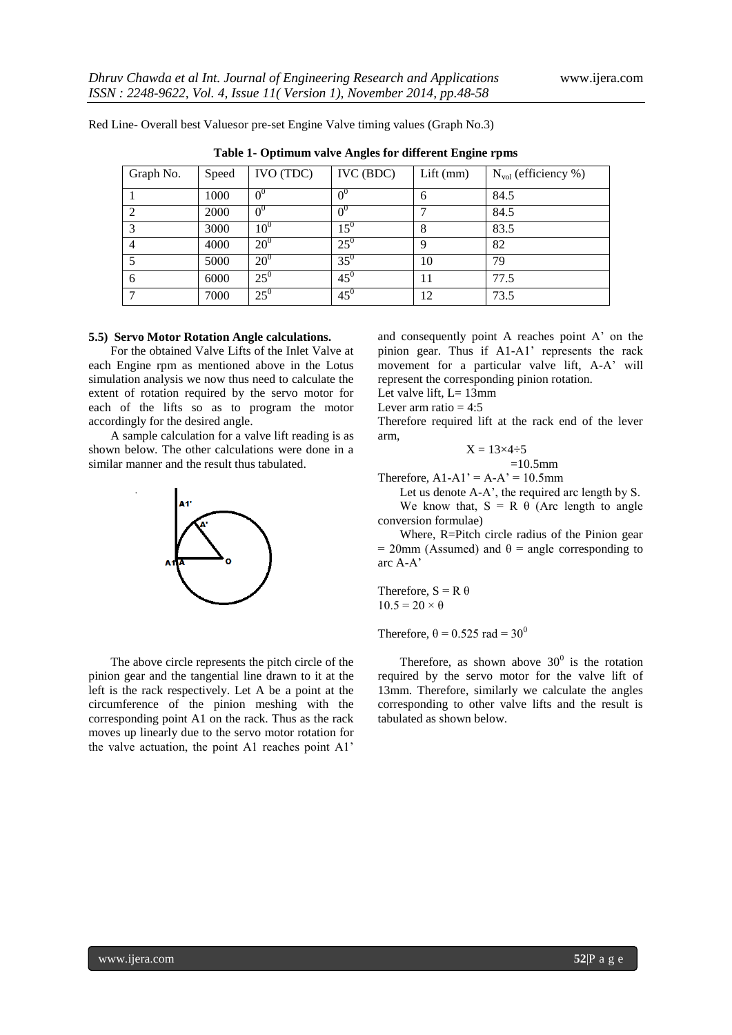| Table 1- Optimum valve Angles for different Engine rpms |       |                |              |             |                                 |  |
|---------------------------------------------------------|-------|----------------|--------------|-------------|---------------------------------|--|
| Graph No.                                               | Speed | IVO (TDC)      | IVC(BDC)     | $Lift$ (mm) | $N_{\text{vol}}$ (efficiency %) |  |
|                                                         | 1000  |                |              | 6           | 84.5                            |  |
|                                                         | 2000  | 0 <sup>0</sup> |              |             | 84.5                            |  |
|                                                         | 3000  | $10^0$         | $15^{\rm o}$ |             | 83.5                            |  |
|                                                         | 4000  | $20^{\circ}$   | $25^{0}$     | Q           | 82                              |  |
|                                                         | 5000  | $20^{\circ}$   | $35^{0}$     | 10          | 79                              |  |
|                                                         | 6000  | $25^0$         | $45^{0}$     |             | 77.5                            |  |

 $45^{0}$ 

Red Line- Overall best Valuesor pre-set Engine Valve timing values (Graph No.3)

 $7 \t 7000 \t 25^0$ 

**5.5) Servo Motor Rotation Angle calculations.**  For the obtained Valve Lifts of the Inlet Valve at each Engine rpm as mentioned above in the Lotus simulation analysis we now thus need to calculate the extent of rotation required by the servo motor for each of the lifts so as to program the motor accordingly for the desired angle.

A sample calculation for a valve lift reading is as shown below. The other calculations were done in a similar manner and the result thus tabulated.



The above circle represents the pitch circle of the pinion gear and the tangential line drawn to it at the left is the rack respectively. Let A be a point at the circumference of the pinion meshing with the corresponding point A1 on the rack. Thus as the rack moves up linearly due to the servo motor rotation for the valve actuation, the point A1 reaches point A1"

and consequently point A reaches point A" on the pinion gear. Thus if A1-A1' represents the rack movement for a particular valve lift, A-A' will represent the corresponding pinion rotation.

Let valve lift,  $L=13$ mm

Lever arm ratio  $= 4:5$ 

Therefore required lift at the rack end of the lever arm,

$$
=13\times4\div5
$$

 $=10.5$ mm

Therefore,  $A1-A1' = A-A' = 10.5$ mm

 $\mathbf{\bar{X}}$ 

12 73.5

Let us denote A-A', the required arc length by S. We know that,  $S = R \theta$  (Arc length to angle conversion formulae)

Where, R=Pitch circle radius of the Pinion gear  $= 20$ mm (Assumed) and  $\theta =$  angle corresponding to arc A-A"

Therefore,  $S = R \theta$  $10.5 = 20 \times \theta$ 

Therefore,  $\theta = 0.525$  rad = 30<sup>0</sup>

Therefore, as shown above  $30^0$  is the rotation required by the servo motor for the valve lift of 13mm. Therefore, similarly we calculate the angles corresponding to other valve lifts and the result is tabulated as shown below.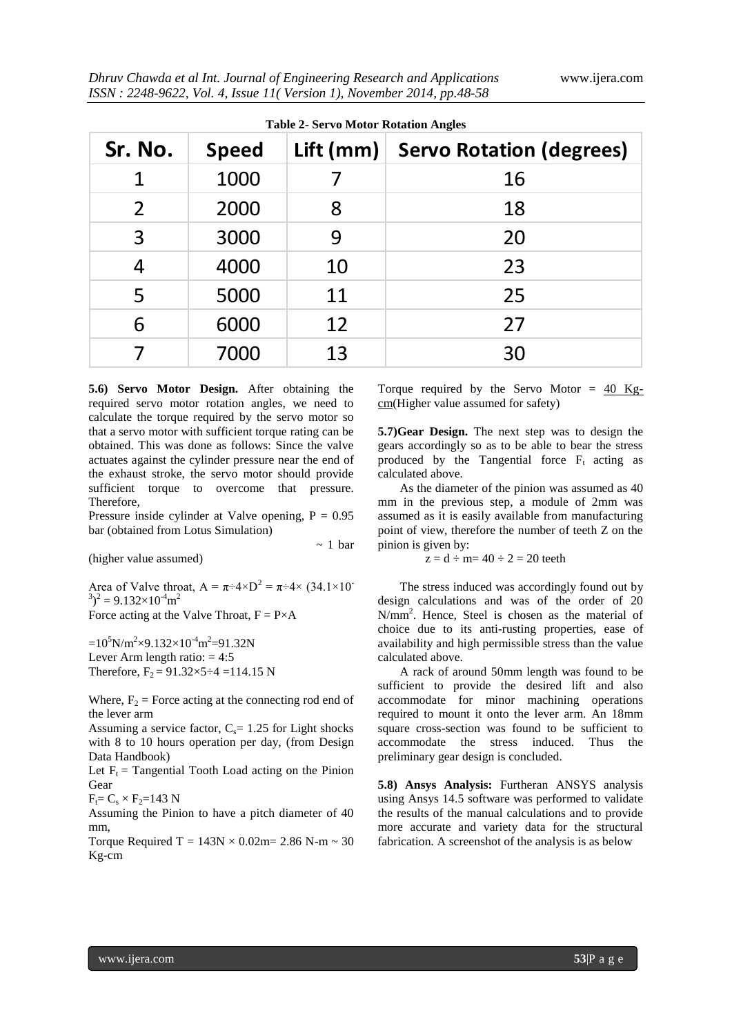| Sr. No. | <b>Speed</b> | Lift (mm) $ $ | <b>Servo Rotation (degrees)</b> |
|---------|--------------|---------------|---------------------------------|
| 1       | 1000         |               | 16                              |
| 2       | 2000         | 8             | 18                              |
| 3       | 3000         | 9             | 20                              |
| 4       | 4000         | 10            | 23                              |
| 5       | 5000         | 11            | 25                              |
| 6       | 6000         | 12            | 27                              |
|         | 7000         | 13            | 30                              |

 $\sim$  1 bar

**5.6) Servo Motor Design.** After obtaining the required servo motor rotation angles, we need to calculate the torque required by the servo motor so that a servo motor with sufficient torque rating can be obtained. This was done as follows: Since the valve actuates against the cylinder pressure near the end of the exhaust stroke, the servo motor should provide sufficient torque to overcome that pressure. **Therefore** 

Pressure inside cylinder at Valve opening,  $P = 0.95$ bar (obtained from Lotus Simulation)

(higher value assumed)

Area of Valve throat,  $A = \pi \div 4 \times D^2 = \pi \div 4 \times (34.1 \times 10^{-10})$  $(3)^2 = 9.132 \times 10^{-4}$ m<sup>2</sup> Force acting at the Valve Throat,  $F = P \times A$ 

 $=10^5$ N/m<sup>2</sup>×9.132×10<sup>-4</sup>m<sup>2</sup>=91.32N Lever Arm length ratio:  $= 4:5$ Therefore,  $F_2 = 91.32 \times 5 \div 4 = 114.15$  N

Where,  $F_2$  = Force acting at the connecting rod end of the lever arm

Assuming a service factor,  $C_s$ = 1.25 for Light shocks with 8 to 10 hours operation per day, (from Design Data Handbook)

Let  $F_t$  = Tangential Tooth Load acting on the Pinion Gear

 $F_t = C_s \times F_2 = 143$  N

Assuming the Pinion to have a pitch diameter of 40 mm,

Torque Required T =  $143N \times 0.02m = 2.86 N$ -m ~ 30 Kg-cm

Torque required by the Servo Motor  $= 40$  Kgcm(Higher value assumed for safety)

**5.7)Gear Design.** The next step was to design the gears accordingly so as to be able to bear the stress produced by the Tangential force  $F_t$  acting as calculated above.

As the diameter of the pinion was assumed as 40 mm in the previous step, a module of 2mm was assumed as it is easily available from manufacturing point of view, therefore the number of teeth Z on the pinion is given by:

 $z = d \div m = 40 \div 2 = 20$  teeth

The stress induced was accordingly found out by design calculations and was of the order of 20 N/mm<sup>2</sup> . Hence, Steel is chosen as the material of choice due to its anti-rusting properties, ease of availability and high permissible stress than the value calculated above.

A rack of around 50mm length was found to be sufficient to provide the desired lift and also accommodate for minor machining operations required to mount it onto the lever arm. An 18mm square cross-section was found to be sufficient to accommodate the stress induced. Thus the preliminary gear design is concluded.

**5.8) Ansys Analysis:** Furtheran ANSYS analysis using Ansys 14.5 software was performed to validate the results of the manual calculations and to provide more accurate and variety data for the structural fabrication. A screenshot of the analysis is as below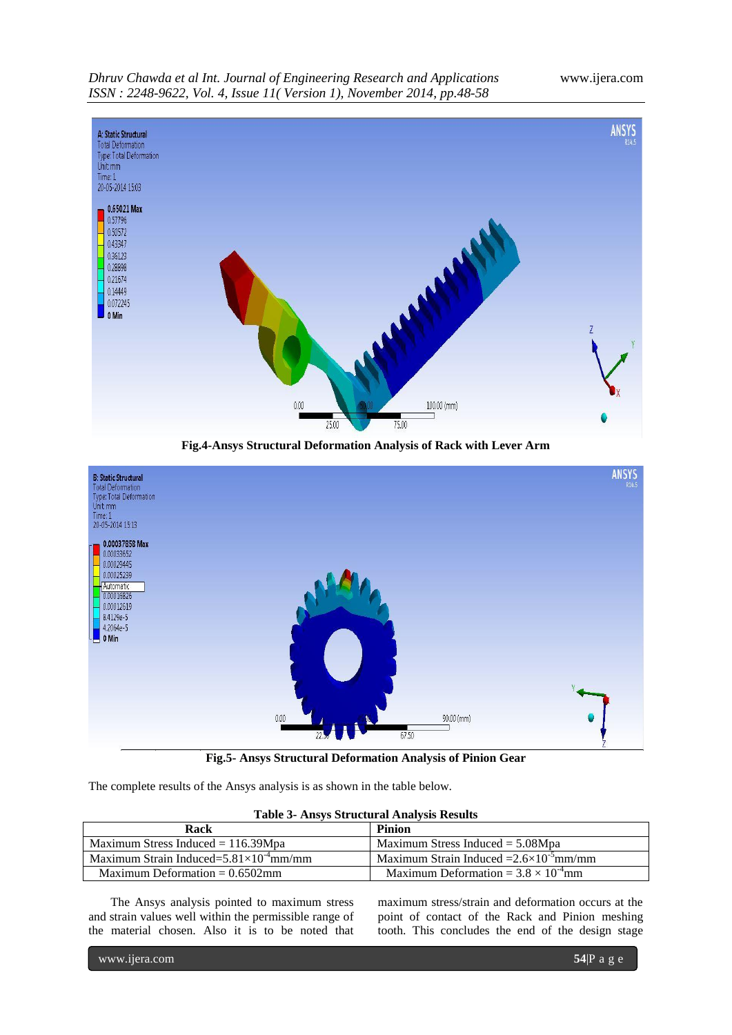

**Fig.4-Ansys Structural Deformation Analysis of Rack with Lever Arm**



**Fig.5- Ansys Structural Deformation Analysis of Pinion Gear**

The complete results of the Ansys analysis is as shown in the table below.

|  | <b>Table 3- Ansys Structural Analysis Results</b> |  |
|--|---------------------------------------------------|--|
|  |                                                   |  |

| Rack                                              | <b>Pinion</b>                                    |
|---------------------------------------------------|--------------------------------------------------|
| Maximum Stress Induced $= 116.39$ Mpa             | Maximum Stress Induced $= 5.08$ Mpa              |
| Maximum Strain Induced= $5.81\times10^{-4}$ mm/mm | Maximum Strain Induced $=2.6\times10^{-5}$ mm/mm |
| Maximum Deformation $= 0.6502$ mm                 | Maximum Deformation = $3.8 \times 10^{-4}$ mm    |

The Ansys analysis pointed to maximum stress and strain values well within the permissible range of the material chosen. Also it is to be noted that

maximum stress/strain and deformation occurs at the point of contact of the Rack and Pinion meshing tooth. This concludes the end of the design stage

www.ijera.com **54**|P a g e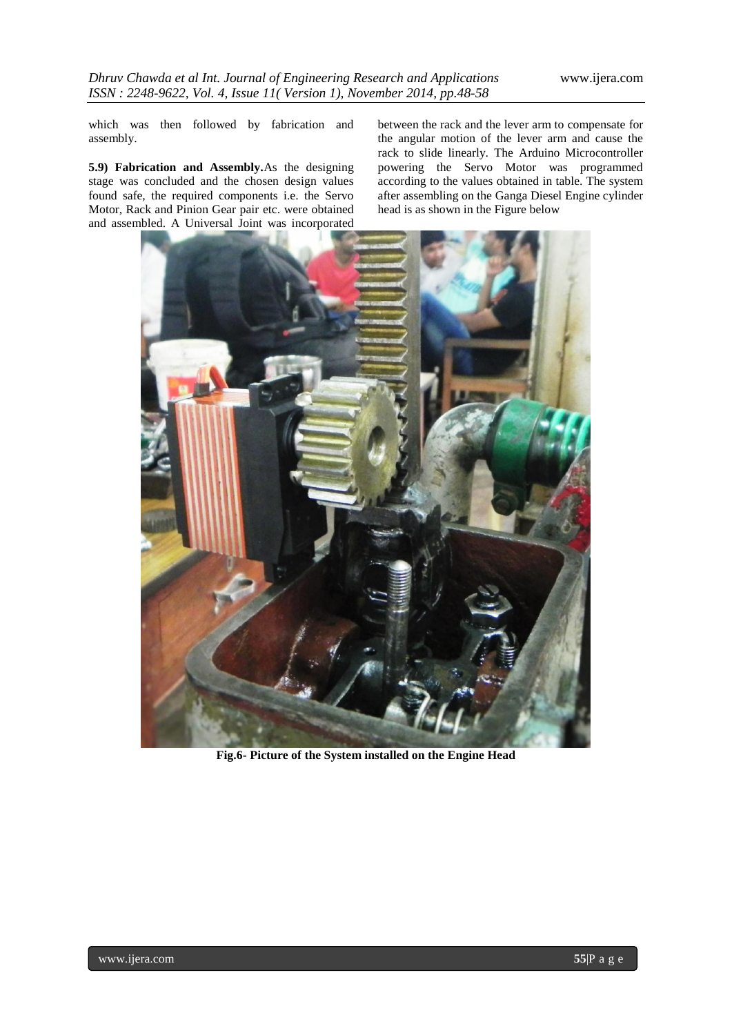which was then followed by fabrication and assembly.

**5.9) Fabrication and Assembly.**As the designing stage was concluded and the chosen design values found safe, the required components i.e. the Servo Motor, Rack and Pinion Gear pair etc. were obtained and assembled. A Universal Joint was incorporated

between the rack and the lever arm to compensate for the angular motion of the lever arm and cause the rack to slide linearly. The Arduino Microcontroller powering the Servo Motor was programmed according to the values obtained in table. The system after assembling on the Ganga Diesel Engine cylinder head is as shown in the Figure below



**Fig.6- Picture of the System installed on the Engine Head**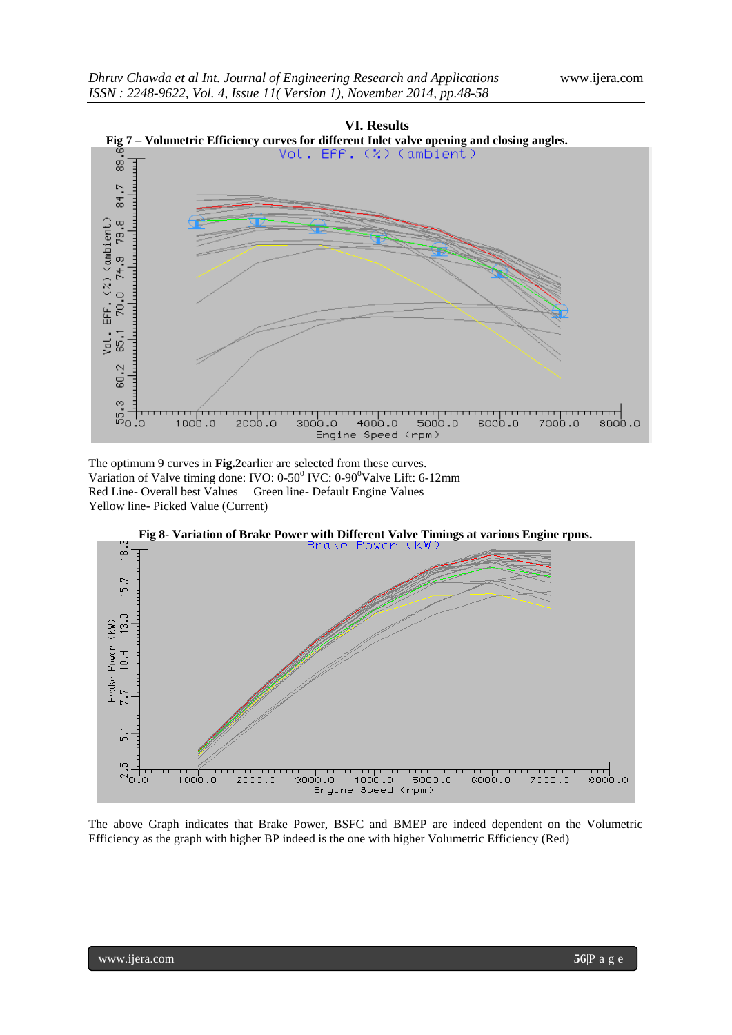

The optimum 9 curves in **Fig.2**earlier are selected from these curves. Variation of Valve timing done: IVO: 0-50<sup>0</sup> IVC: 0-90<sup>0</sup>Valve Lift: 6-12mm Red Line- Overall best Values Green line- Default Engine Values Yellow line- Picked Value (Current)



The above Graph indicates that Brake Power, BSFC and BMEP are indeed dependent on the Volumetric Efficiency as the graph with higher BP indeed is the one with higher Volumetric Efficiency (Red)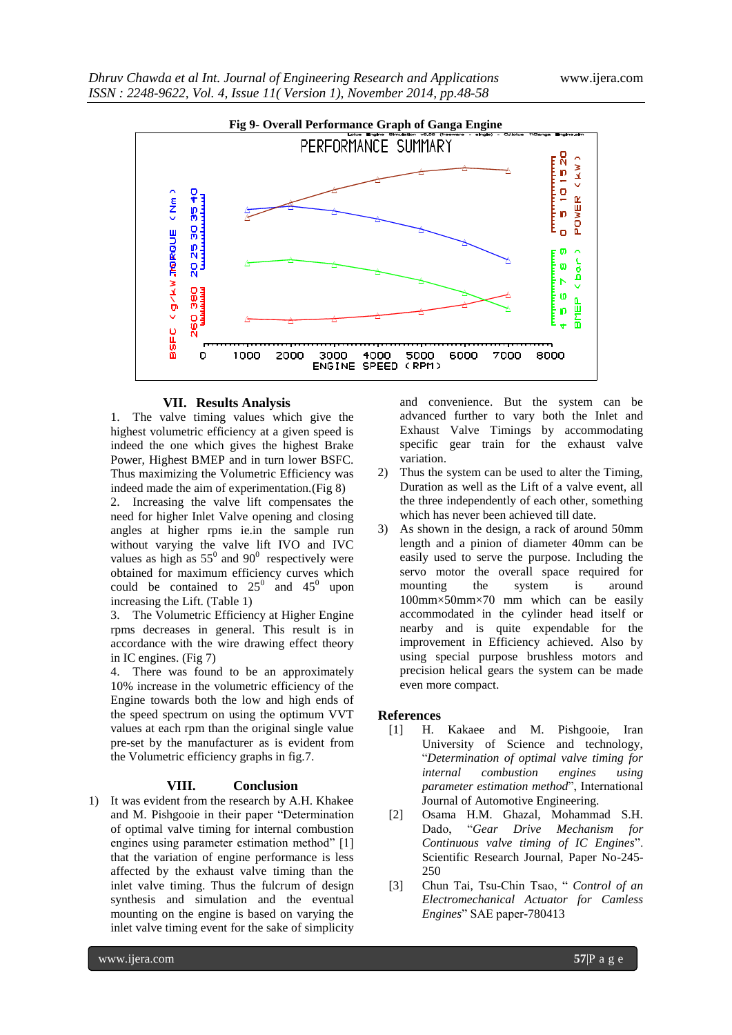

## **VII. Results Analysis**

The valve timing values which give the highest volumetric efficiency at a given speed is indeed the one which gives the highest Brake Power, Highest BMEP and in turn lower BSFC. Thus maximizing the Volumetric Efficiency was indeed made the aim of experimentation.(Fig 8) 2. Increasing the valve lift compensates the need for higher Inlet Valve opening and closing angles at higher rpms ie.in the sample run without varying the valve lift IVO and IVC values as high as  $55^{\circ}$  and  $90^{\circ}$  respectively were obtained for maximum efficiency curves which could be contained to  $25^{\circ}$  and  $45^{\circ}$  upon increasing the Lift. (Table 1)

3. The Volumetric Efficiency at Higher Engine rpms decreases in general. This result is in accordance with the wire drawing effect theory in IC engines. (Fig 7)

4. There was found to be an approximately 10% increase in the volumetric efficiency of the Engine towards both the low and high ends of the speed spectrum on using the optimum VVT values at each rpm than the original single value pre-set by the manufacturer as is evident from the Volumetric efficiency graphs in fig.7.

#### **VIII. Conclusion**

1) It was evident from the research by A.H. Khakee and M. Pishgooie in their paper "Determination of optimal valve timing for internal combustion engines using parameter estimation method" [1] that the variation of engine performance is less affected by the exhaust valve timing than the inlet valve timing. Thus the fulcrum of design synthesis and simulation and the eventual mounting on the engine is based on varying the inlet valve timing event for the sake of simplicity

and convenience. But the system can be advanced further to vary both the Inlet and Exhaust Valve Timings by accommodating specific gear train for the exhaust valve variation.

- Thus the system can be used to alter the Timing, Duration as well as the Lift of a valve event, all the three independently of each other, something which has never been achieved till date.
- 3) As shown in the design, a rack of around 50mm length and a pinion of diameter 40mm can be easily used to serve the purpose. Including the servo motor the overall space required for mounting the system is around 100mm×50mm×70 mm which can be easily accommodated in the cylinder head itself or nearby and is quite expendable for the improvement in Efficiency achieved. Also by using special purpose brushless motors and precision helical gears the system can be made even more compact.

#### **References**

- [1] H. Kakaee and M. Pishgooie, Iran University of Science and technology, "*Determination of optimal valve timing for internal combustion engines using parameter estimation method*", International Journal of Automotive Engineering.
- [2] Osama H.M. Ghazal, Mohammad S.H. Dado, "*Gear Drive Mechanism for Continuous valve timing of IC Engines*". Scientific Research Journal, Paper No-245- 250
- [3] Chun Tai, Tsu-Chin Tsao, " *Control of an Electromechanical Actuator for Camless Engines*" SAE paper-780413